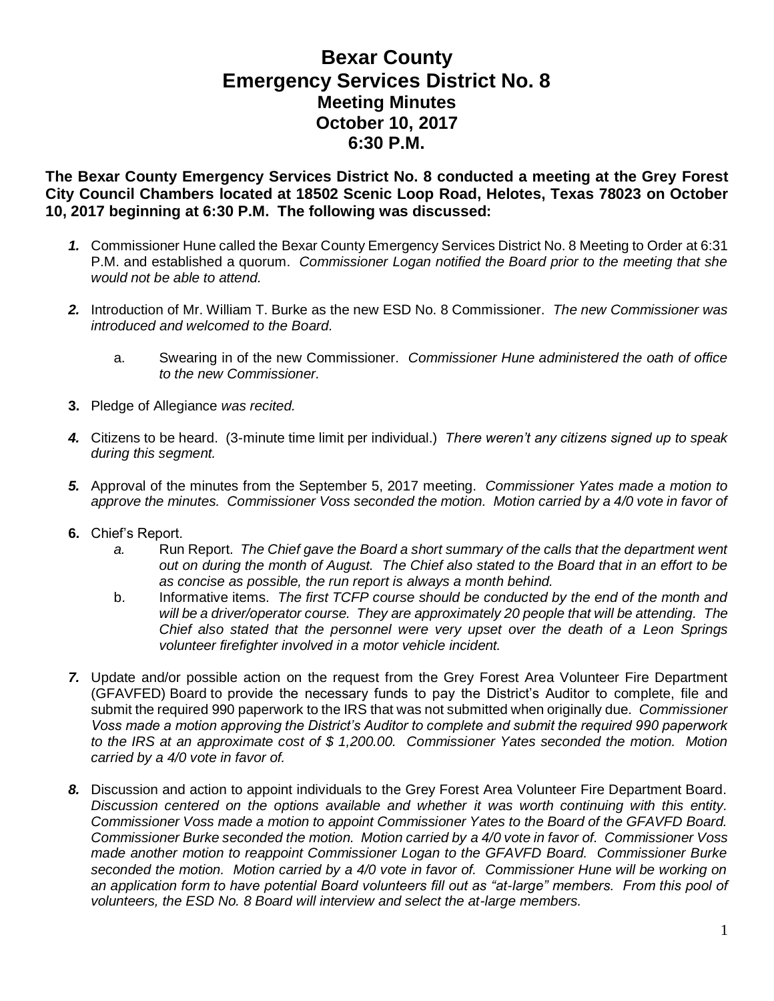## **Bexar County Emergency Services District No. 8 Meeting Minutes October 10, 2017 6:30 P.M.**

**The Bexar County Emergency Services District No. 8 conducted a meeting at the Grey Forest City Council Chambers located at 18502 Scenic Loop Road, Helotes, Texas 78023 on October 10, 2017 beginning at 6:30 P.M. The following was discussed:**

- *1.* Commissioner Hune called the Bexar County Emergency Services District No. 8 Meeting to Order at 6:31 P.M. and established a quorum. *Commissioner Logan notified the Board prior to the meeting that she would not be able to attend.*
- *2.* Introduction of Mr. William T. Burke as the new ESD No. 8 Commissioner. *The new Commissioner was introduced and welcomed to the Board.*
	- a. Swearing in of the new Commissioner. *Commissioner Hune administered the oath of office to the new Commissioner.*
- **3.** Pledge of Allegiance *was recited.*
- *4.* Citizens to be heard. (3-minute time limit per individual.) *There weren't any citizens signed up to speak during this segment.*
- *5.* Approval of the minutes from the September 5, 2017 meeting. *Commissioner Yates made a motion to approve the minutes. Commissioner Voss seconded the motion. Motion carried by a 4/0 vote in favor of*
- **6.** Chief's Report.
	- *a.* Run Report. *The Chief gave the Board a short summary of the calls that the department went out on during the month of August. The Chief also stated to the Board that in an effort to be as concise as possible, the run report is always a month behind.*
	- b. Informative items. *The first TCFP course should be conducted by the end of the month and will be a driver/operator course. They are approximately 20 people that will be attending. The Chief also stated that the personnel were very upset over the death of a Leon Springs volunteer firefighter involved in a motor vehicle incident.*
- *7.* Update and/or possible action on the request from the Grey Forest Area Volunteer Fire Department (GFAVFED) Board to provide the necessary funds to pay the District's Auditor to complete, file and submit the required 990 paperwork to the IRS that was not submitted when originally due. *Commissioner Voss made a motion approving the District's Auditor to complete and submit the required 990 paperwork to the IRS at an approximate cost of \$ 1,200.00. Commissioner Yates seconded the motion. Motion carried by a 4/0 vote in favor of.*
- *8.* Discussion and action to appoint individuals to the Grey Forest Area Volunteer Fire Department Board. *Discussion centered on the options available and whether it was worth continuing with this entity. Commissioner Voss made a motion to appoint Commissioner Yates to the Board of the GFAVFD Board. Commissioner Burke seconded the motion. Motion carried by a 4/0 vote in favor of. Commissioner Voss made another motion to reappoint Commissioner Logan to the GFAVFD Board. Commissioner Burke seconded the motion. Motion carried by a 4/0 vote in favor of. Commissioner Hune will be working on an application form to have potential Board volunteers fill out as "at-large" members. From this pool of volunteers, the ESD No. 8 Board will interview and select the at-large members.*